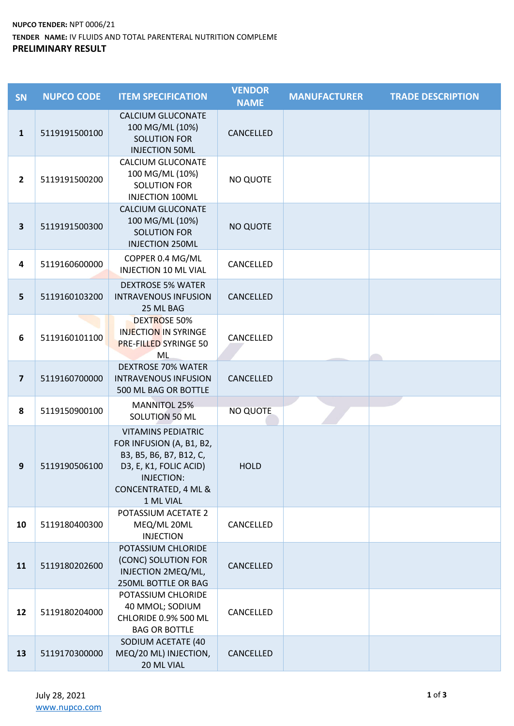## **NUPCO TENDER:** NPT 0006/21 TENDER NAME: IV FLUIDS AND TOTAL PARENTERAL NUTRITION COMPLEME **PRELIMINARY RESULT**

| SN                      | <b>NUPCO CODE</b> | <b>ITEM SPECIFICATION</b>                                                                                                                                     | <b>VENDOR</b><br><b>NAME</b> | <b>MANUFACTURER</b> | <b>TRADE DESCRIPTION</b> |
|-------------------------|-------------------|---------------------------------------------------------------------------------------------------------------------------------------------------------------|------------------------------|---------------------|--------------------------|
| $\mathbf{1}$            | 5119191500100     | <b>CALCIUM GLUCONATE</b><br>100 MG/ML (10%)<br><b>SOLUTION FOR</b><br><b>INJECTION 50ML</b>                                                                   | CANCELLED                    |                     |                          |
| $\overline{2}$          | 5119191500200     | CALCIUM GLUCONATE<br>100 MG/ML (10%)<br><b>SOLUTION FOR</b><br><b>INJECTION 100ML</b>                                                                         | <b>NO QUOTE</b>              |                     |                          |
| $\overline{\mathbf{3}}$ | 5119191500300     | <b>CALCIUM GLUCONATE</b><br>100 MG/ML (10%)<br><b>SOLUTION FOR</b><br><b>INJECTION 250ML</b>                                                                  | <b>NO QUOTE</b>              |                     |                          |
| $\overline{\mathbf{4}}$ | 5119160600000     | COPPER 0.4 MG/ML<br><b>INJECTION 10 ML VIAL</b>                                                                                                               | CANCELLED                    |                     |                          |
| $5\phantom{1}$          | 5119160103200     | <b>DEXTROSE 5% WATER</b><br><b>INTRAVENOUS INFUSION</b><br>25 ML BAG                                                                                          | CANCELLED                    |                     |                          |
| 6                       | 5119160101100     | <b>DEXTROSE 50%</b><br><b>INJECTION IN SYRINGE</b><br><b>PRE-FILLED SYRINGE 50</b><br>ML                                                                      | CANCELLED                    |                     |                          |
| $\overline{\mathbf{z}}$ | 5119160700000     | <b>DEXTROSE 70% WATER</b><br><b>INTRAVENOUS INFUSION</b><br>500 ML BAG OR BOTTLE                                                                              | CANCELLED                    |                     |                          |
| 8                       | 5119150900100     | <b>MANNITOL 25%</b><br>SOLUTION 50 ML                                                                                                                         | <b>NO QUOTE</b>              |                     |                          |
| 9                       | 5119190506100     | <b>VITAMINS PEDIATRIC</b><br>FOR INFUSION (A, B1, B2,<br>B3, B5, B6, B7, B12, C,<br>D3, E, K1, FOLIC ACID)<br>INJECTION:<br>CONCENTRATED, 4 ML &<br>1 ML VIAL | <b>HOLD</b>                  |                     |                          |
| 10                      | 5119180400300     | POTASSIUM ACETATE 2<br>MEQ/ML 20ML<br><b>INJECTION</b>                                                                                                        | CANCELLED                    |                     |                          |
| 11                      | 5119180202600     | POTASSIUM CHLORIDE<br>(CONC) SOLUTION FOR<br>INJECTION 2MEQ/ML,<br>250ML BOTTLE OR BAG                                                                        | CANCELLED                    |                     |                          |
| 12                      | 5119180204000     | POTASSIUM CHLORIDE<br>40 MMOL; SODIUM<br>CHLORIDE 0.9% 500 ML<br><b>BAG OR BOTTLE</b>                                                                         | CANCELLED                    |                     |                          |
| 13                      | 5119170300000     | SODIUM ACETATE (40<br>MEQ/20 ML) INJECTION,<br>20 ML VIAL                                                                                                     | CANCELLED                    |                     |                          |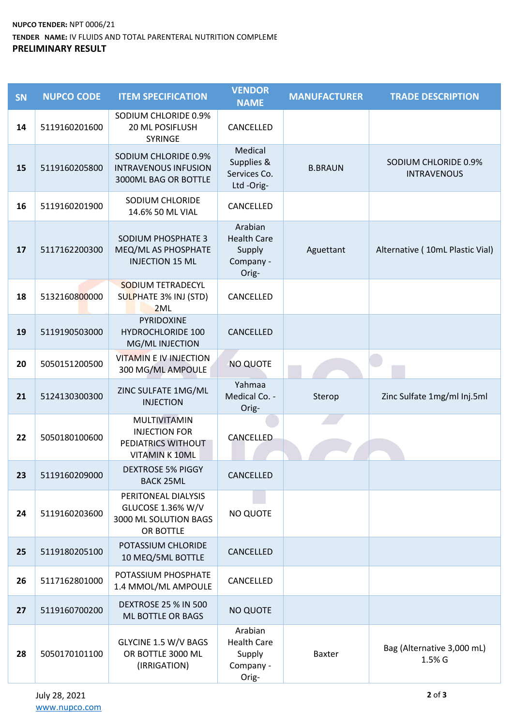## **NUPCO TENDER:** NPT 0006/21 TENDER NAME: IV FLUIDS AND TOTAL PARENTERAL NUTRITION COMPLEME **PRELIMINARY RESULT**

| SN | <b>NUPCO CODE</b> | <b>ITEM SPECIFICATION</b>                                                             | <b>VENDOR</b><br><b>NAME</b>                                  | <b>MANUFACTURER</b> | <b>TRADE DESCRIPTION</b>                   |
|----|-------------------|---------------------------------------------------------------------------------------|---------------------------------------------------------------|---------------------|--------------------------------------------|
| 14 | 5119160201600     | SODIUM CHLORIDE 0.9%<br>20 ML POSIFLUSH<br><b>SYRINGE</b>                             | CANCELLED                                                     |                     |                                            |
| 15 | 5119160205800     | SODIUM CHLORIDE 0.9%<br><b>INTRAVENOUS INFUSION</b><br>3000ML BAG OR BOTTLE           | Medical<br>Supplies &<br>Services Co.<br>Ltd-Orig-            | <b>B.BRAUN</b>      | SODIUM CHLORIDE 0.9%<br><b>INTRAVENOUS</b> |
| 16 | 5119160201900     | SODIUM CHLORIDE<br>14.6% 50 ML VIAL                                                   | CANCELLED                                                     |                     |                                            |
| 17 | 5117162200300     | SODIUM PHOSPHATE 3<br>MEQ/ML AS PHOSPHATE<br><b>INJECTION 15 ML</b>                   | Arabian<br><b>Health Care</b><br>Supply<br>Company -<br>Orig- | Aguettant           | Alternative (10mL Plastic Vial)            |
| 18 | 5132160800000     | <b>SODIUM TETRADECYL</b><br>SULPHATE 3% INJ (STD)<br>2ML                              | CANCELLED                                                     |                     |                                            |
| 19 | 5119190503000     | PYRIDOXINE<br><b>HYDROCHLORIDE 100</b><br>MG/ML INJECTION                             | CANCELLED                                                     |                     |                                            |
| 20 | 5050151200500     | <b>VITAMIN E IV INJECTION</b><br>300 MG/ML AMPOULE                                    | <b>NO QUOTE</b>                                               |                     |                                            |
| 21 | 5124130300300     | ZINC SULFATE 1MG/ML<br><b>INJECTION</b>                                               | Yahmaa<br>Medical Co. -<br>Orig-                              | Sterop              | Zinc Sulfate 1mg/ml Inj.5ml                |
| 22 | 5050180100600     | MULTIVITAMIN<br><b>INJECTION FOR</b><br>PEDIATRICS WITHOUT<br><b>VITAMIN K 10ML</b>   | CANCELLED                                                     |                     |                                            |
| 23 | 5119160209000     | <b>DEXTROSE 5% PIGGY</b><br><b>BACK 25ML</b>                                          | CANCELLED                                                     |                     |                                            |
| 24 | 5119160203600     | PERITONEAL DIALYSIS<br><b>GLUCOSE 1.36% W/V</b><br>3000 ML SOLUTION BAGS<br>OR BOTTLE | <b>NO QUOTE</b>                                               |                     |                                            |
| 25 | 5119180205100     | POTASSIUM CHLORIDE<br>10 MEQ/5ML BOTTLE                                               | CANCELLED                                                     |                     |                                            |
| 26 | 5117162801000     | POTASSIUM PHOSPHATE<br>1.4 MMOL/ML AMPOULE                                            | CANCELLED                                                     |                     |                                            |
| 27 | 5119160700200     | <b>DEXTROSE 25 % IN 500</b><br>ML BOTTLE OR BAGS                                      | <b>NO QUOTE</b>                                               |                     |                                            |
| 28 | 5050170101100     | GLYCINE 1.5 W/V BAGS<br>OR BOTTLE 3000 ML<br>(IRRIGATION)                             | Arabian<br><b>Health Care</b><br>Supply<br>Company -<br>Orig- | Baxter              | Bag (Alternative 3,000 mL)<br>1.5% G       |